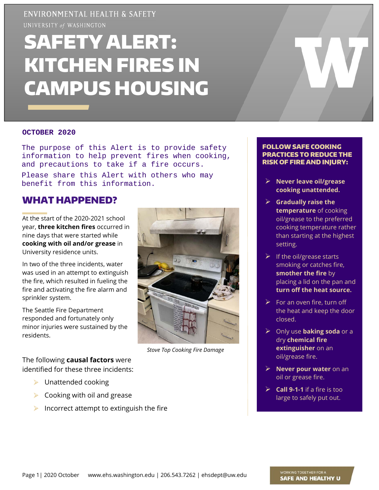## ENVIRONMENTAL HEALTH & SAFETY

UNIVERSITY of WASHINGTON

# SAFETY ALERT: KITCHEN FIRES IN CAMPUS HOUSING

#### **OCTOBER 2020**

The purpose of this Alert is to provide safety information to help prevent fires when cooking, and precautions to take if a fire occurs. Please share this Alert with others who may benefit from this information.

#### WHAT HAPPENED?

At the start of the 2020-2021 school year, **three kitchen fires** occurred in nine days that were started while **cooking with oil and/or grease** in University residence units.

In two of the three incidents, water was used in an attempt to extinguish the fire, which resulted in fueling the fire and activating the fire alarm and sprinkler system.

The Seattle Fire Department responded and fortunately only minor injuries were sustained by the residents.

The following **causal factors** were identified for these three incidents:

- $\blacktriangleright$  Unattended cooking
- $\triangleright$  Cooking with oil and grease
- Incorrect attempt to extinguish the fire



*Stove Top Cooking Fire Damage*

#### FOLLOW SAFE COOKING PRACTICES TO REDUCE THE RISK OF FIRE AND INJURY:

- **Never leave oil/grease cooking unattended.**
- **Gradually raise the temperature** of cooking oil/grease to the preferred cooking temperature rather than starting at the highest setting.
- $\triangleright$  If the oil/grease starts smoking or catches fire, **smother the fire** by placing a lid on the pan and **turn off the heat source.**
- $\triangleright$  For an oven fire, turn off the heat and keep the door closed.
- Only use **baking soda** or a dry **chemical fire extinguisher** on an oil/grease fire.
- **Never pour water** on an oil or grease fire.
- $\triangleright$  **Call 9-1-1** if a fire is too large to safely put out.